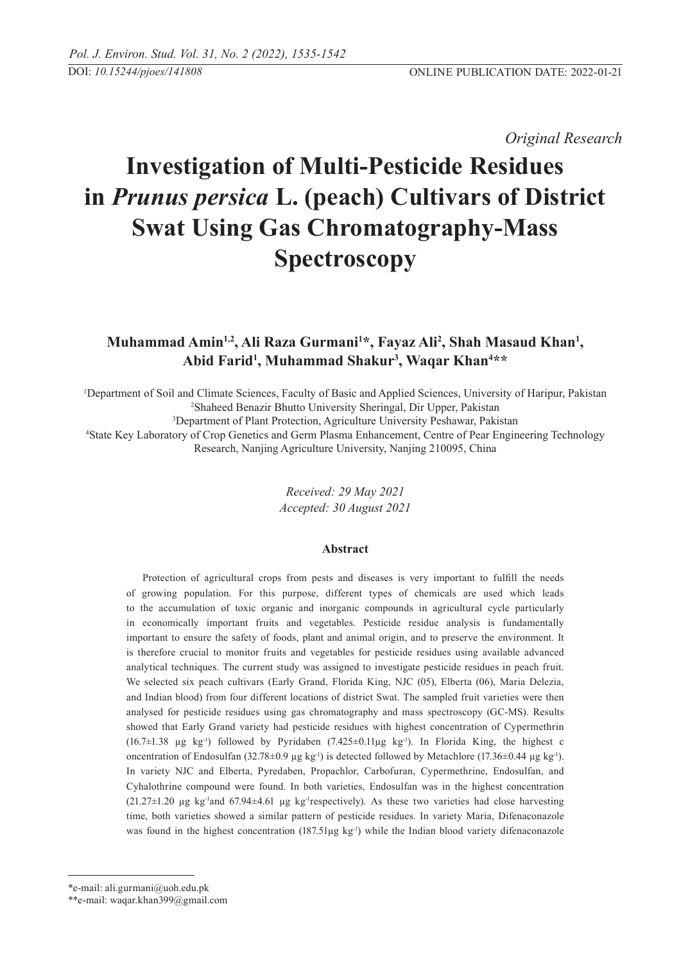*Original Research* 

# **Investigation of Multi-Pesticide Residues in** *Prunus persica* **L. (peach) Cultivars of District Swat Using Gas Chromatography-Mass Spectroscopy**

# Muhammad Amin<sup>1,2</sup>, Ali Raza Gurmani<sup>1\*</sup>, Fayaz Ali<sup>2</sup>, Shah Masaud Khan<sup>1</sup>, **Abid Farid1 , Muhammad Shakur3 , Waqar Khan4 \*\***

 Department of Soil and Climate Sciences, Faculty of Basic and Applied Sciences, University of Haripur, Pakistan Shaheed Benazir Bhutto University Sheringal, Dir Upper, Pakistan Department of Plant Protection, Agriculture University Peshawar, Pakistan State Key Laboratory of Crop Genetics and Germ Plasma Enhancement, Centre of Pear Engineering Technology Research, Nanjing Agriculture University, Nanjing 210095, China

> *Received: 29 May 2021 Accepted: 30 August 2021*

# **Abstract**

Protection of agricultural crops from pests and diseases is very important to fulfill the needs of growing population. For this purpose, different types of chemicals are used which leads to the accumulation of toxic organic and inorganic compounds in agricultural cycle particularly in economically important fruits and vegetables. Pesticide residue analysis is fundamentally important to ensure the safety of foods, plant and animal origin, and to preserve the environment. It is therefore crucial to monitor fruits and vegetables for pesticide residues using available advanced analytical techniques. The current study was assigned to investigate pesticide residues in peach fruit. We selected six peach cultivars (Early Grand, Florida King, NJC (05), Elberta (06), Maria Delezia, and Indian blood) from four different locations of district Swat. The sampled fruit varieties were then analysed for pesticide residues using gas chromatography and mass spectroscopy (GC-MS). Results showed that Early Grand variety had pesticide residues with highest concentration of Cypermethrin  $(16.7\pm1.38 \text{ µg kg}^{-1})$  followed by Pyridaben  $(7.425\pm0.11\text{ µg kg}^{-1})$ . In Florida King, the highest c oncentration of Endosulfan (32.78±0.9 µg kg<sup>-1</sup>) is detected followed by Metachlore (17.36±0.44 µg kg<sup>-1</sup>). In variety NJC and Elberta, Pyredaben, Propachlor, Carbofuran, Cypermethrine, Endosulfan, and Cyhalothrine compound were found. In both varieties, Endosulfan was in the highest concentration  $(21.27\pm1.20 \text{ µg kg}^{-1}$  and  $67.94\pm4.61 \text{ µg kg}^{-1}$  respectively). As these two varieties had close harvesting time, both varieties showed a similar pattern of pesticide residues. In variety Maria, Difenaconazole was found in the highest concentration  $(187.51\mu g kg^{-1})$  while the Indian blood variety difenaconazole

<sup>\*</sup>e-mail: ali.gurmani@uoh.edu.pk

<sup>\*\*</sup>e-mail: waqar.khan399@gmail.com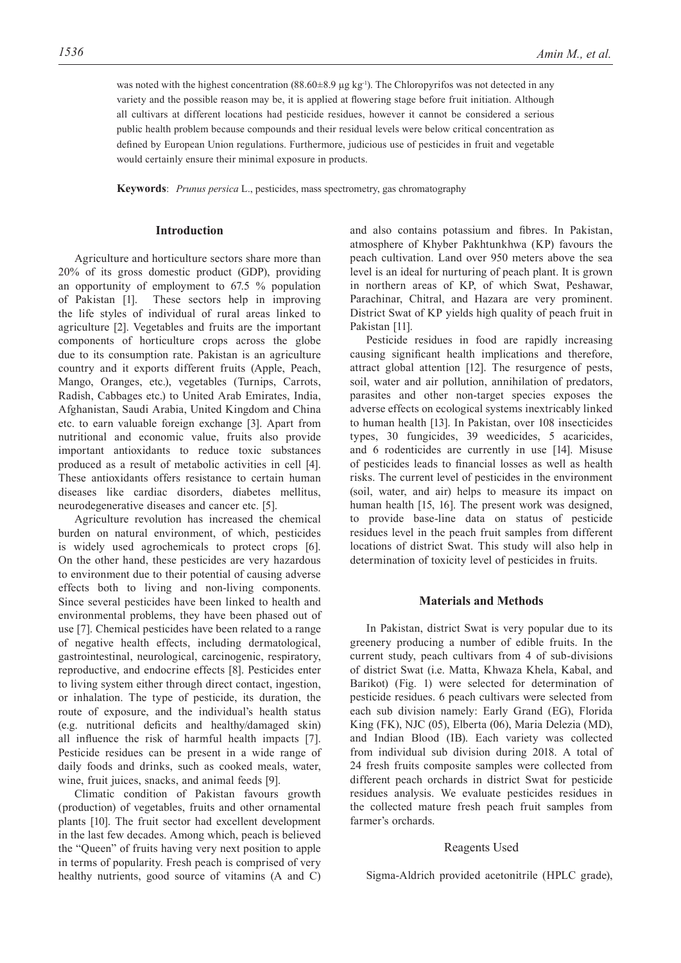was noted with the highest concentration  $(88.60\pm8.9 \,\mu g \,\text{kg}^{-1})$ . The Chloropyrifos was not detected in any variety and the possible reason may be, it is applied at flowering stage before fruit initiation. Although all cultivars at different locations had pesticide residues, however it cannot be considered a serious public health problem because compounds and their residual levels were below critical concentration as defined by European Union regulations. Furthermore, judicious use of pesticides in fruit and vegetable would certainly ensure their minimal exposure in products.

**Keywords**: *Prunus persica* L., pesticides, mass spectrometry, gas chromatography

# **Introduction**

Agriculture and horticulture sectors share more than 20% of its gross domestic product (GDP), providing an opportunity of employment to 67.5 % population of Pakistan [1]. These sectors help in improving the life styles of individual of rural areas linked to agriculture [2]. Vegetables and fruits are the important components of horticulture crops across the globe due to its consumption rate. Pakistan is an agriculture country and it exports different fruits (Apple, Peach, Mango, Oranges, etc.), vegetables (Turnips, Carrots, Radish, Cabbages etc.) to United Arab Emirates, India, Afghanistan, Saudi Arabia, United Kingdom and China etc. to earn valuable foreign exchange [3]. Apart from nutritional and economic value, fruits also provide important antioxidants to reduce toxic substances produced as a result of metabolic activities in cell [4]. These antioxidants offers resistance to certain human diseases like cardiac disorders, diabetes mellitus, neurodegenerative diseases and cancer etc. [5].

Agriculture revolution has increased the chemical burden on natural environment, of which, pesticides is widely used agrochemicals to protect crops [6]. On the other hand, these pesticides are very hazardous to environment due to their potential of causing adverse effects both to living and non-living components. Since several pesticides have been linked to health and environmental problems, they have been phased out of use [7]. Chemical pesticides have been related to a range of negative health effects, including dermatological, gastrointestinal, neurological, carcinogenic, respiratory, reproductive, and endocrine effects [8]. Pesticides enter to living system either through direct contact, ingestion, or inhalation. The type of pesticide, its duration, the route of exposure, and the individual's health status (e.g. nutritional deficits and healthy/damaged skin) all influence the risk of harmful health impacts [7]. Pesticide residues can be present in a wide range of daily foods and drinks, such as cooked meals, water, wine, fruit juices, snacks, and animal feeds [9].

Climatic condition of Pakistan favours growth (production) of vegetables, fruits and other ornamental plants [10]. The fruit sector had excellent development in the last few decades. Among which, peach is believed the "Queen" of fruits having very next position to apple in terms of popularity. Fresh peach is comprised of very healthy nutrients, good source of vitamins (A and C) and also contains potassium and fibres. In Pakistan, atmosphere of Khyber Pakhtunkhwa (KP) favours the peach cultivation. Land over 950 meters above the sea level is an ideal for nurturing of peach plant. It is grown in northern areas of KP, of which Swat, Peshawar, Parachinar, Chitral, and Hazara are very prominent. District Swat of KP yields high quality of peach fruit in Pakistan [11].

Pesticide residues in food are rapidly increasing causing significant health implications and therefore, attract global attention [12]. The resurgence of pests, soil, water and air pollution, annihilation of predators, parasites and other non-target species exposes the adverse effects on ecological systems inextricably linked to human health [13]. In Pakistan, over 108 insecticides types, 30 fungicides, 39 weedicides, 5 acaricides, and 6 rodenticides are currently in use [14]. Misuse of pesticides leads to financial losses as well as health risks. The current level of pesticides in the environment (soil, water, and air) helps to measure its impact on human health [15, 16]. The present work was designed, to provide base-line data on status of pesticide residues level in the peach fruit samples from different locations of district Swat. This study will also help in determination of toxicity level of pesticides in fruits.

#### **Materials and Methods**

In Pakistan, district Swat is very popular due to its greenery producing a number of edible fruits. In the current study, peach cultivars from 4 of sub-divisions of district Swat (i.e. Matta, Khwaza Khela, Kabal, and Barikot) (Fig. 1) were selected for determination of pesticide residues. 6 peach cultivars were selected from each sub division namely: Early Grand (EG), Florida King (FK), NJC (05), Elberta (06), Maria Delezia (MD), and Indian Blood (IB). Each variety was collected from individual sub division during 2018. A total of 24 fresh fruits composite samples were collected from different peach orchards in district Swat for pesticide residues analysis. We evaluate pesticides residues in the collected mature fresh peach fruit samples from farmer's orchards.

#### Reagents Used

Sigma-Aldrich provided acetonitrile (HPLC grade),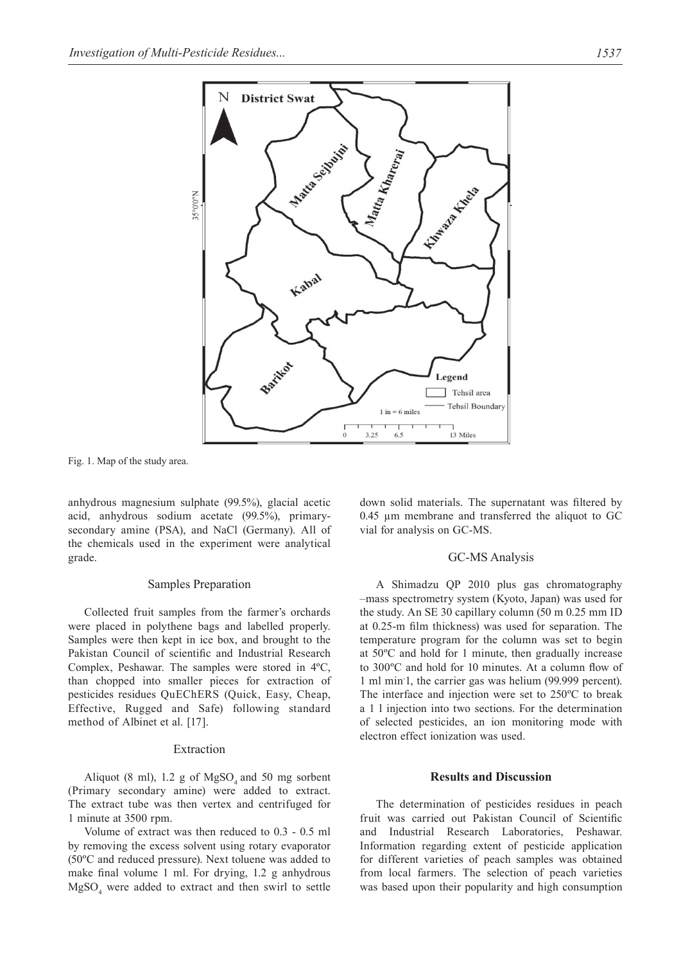

Fig. 1. Map of the study area.

anhydrous magnesium sulphate (99.5%), glacial acetic acid, anhydrous sodium acetate (99.5%), primarysecondary amine (PSA), and NaCl (Germany). All of the chemicals used in the experiment were analytical grade.

#### Samples Preparation

Collected fruit samples from the farmer's orchards were placed in polythene bags and labelled properly. Samples were then kept in ice box, and brought to the Pakistan Council of scientific and Industrial Research Complex, Peshawar. The samples were stored in 4ºC, than chopped into smaller pieces for extraction of pesticides residues QuEChERS (Quick, Easy, Cheap, Effective, Rugged and Safe) following standard method of Albinet et al. [17].

# Extraction

Aliquot (8 ml), 1.2 g of  $MgSO<sub>4</sub>$  and 50 mg sorbent (Primary secondary amine) were added to extract. The extract tube was then vertex and centrifuged for 1 minute at 3500 rpm.

Volume of extract was then reduced to 0.3 - 0.5 ml by removing the excess solvent using rotary evaporator (50ºC and reduced pressure). Next toluene was added to make final volume 1 ml. For drying, 1.2 g anhydrous  $MgSO<sub>4</sub>$  were added to extract and then swirl to settle down solid materials. The supernatant was filtered by 0.45 µm membrane and transferred the aliquot to GC vial for analysis on GC-MS.

#### GC-MS Analysis

A Shimadzu QP 2010 plus gas chromatography –mass spectrometry system (Kyoto, Japan) was used for the study. An SE 30 capillary column (50 m 0.25 mm ID at 0.25-m film thickness) was used for separation. The temperature program for the column was set to begin at 50ºC and hold for 1 minute, then gradually increase to 300ºC and hold for 10 minutes. At a column flow of 1 ml min-1, the carrier gas was helium (99.999 percent). The interface and injection were set to 250ºC to break a 1 l injection into two sections. For the determination of selected pesticides, an ion monitoring mode with electron effect ionization was used.

#### **Results and Discussion**

The determination of pesticides residues in peach fruit was carried out Pakistan Council of Scientific and Industrial Research Laboratories, Peshawar. Information regarding extent of pesticide application for different varieties of peach samples was obtained from local farmers. The selection of peach varieties was based upon their popularity and high consumption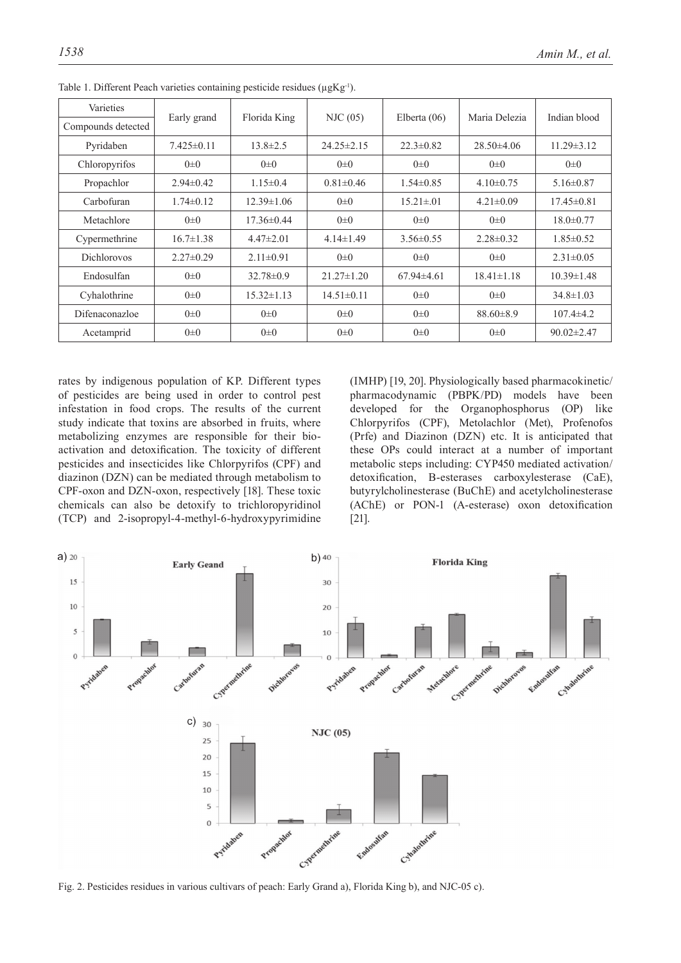| Varieties          |                 | Florida King     |                  |                 | Maria Delezia    | Indian blood     |
|--------------------|-----------------|------------------|------------------|-----------------|------------------|------------------|
| Compounds detected | Early grand     |                  | NIC(05)          | Elberta $(06)$  |                  |                  |
| Pyridaben          | $7.425\pm0.11$  | $13.8 \pm 2.5$   | $24.25 \pm 2.15$ | $22.3 \pm 0.82$ | $28.50\pm4.06$   | $11.29 \pm 3.12$ |
| Chloropyrifos      | $0\pm 0$        | $0\pm 0$         | $0\pm 0$         | $0\pm 0$        | $0\pm 0$         | $0\pm 0$         |
| Propachlor         | $2.94\pm0.42$   | $1.15\pm0.4$     | $0.81 \pm 0.46$  | $1.54 \pm 0.85$ | $4.10\pm0.75$    | $5.16 \pm 0.87$  |
| Carbofuran         | $1.74\pm 0.12$  | $12.39 \pm 1.06$ | $0\pm 0$         | $15.21 \pm .01$ | $4.21 \pm 0.09$  | $17.45\pm0.81$   |
| Metachlore         | $0\pm 0$        | $17.36\pm0.44$   | $0\pm 0$         | $0\pm 0$        | $0\pm 0$         | $18.0 \pm 0.77$  |
| Cypermethrine      | $16.7 \pm 1.38$ | $4.47\pm2.01$    | $4.14 \pm 1.49$  | $3.56 \pm 0.55$ | $2.28 \pm 0.32$  | $1.85 \pm 0.52$  |
| <b>Dichlorovos</b> | $2.27\pm 0.29$  | $2.11 \pm 0.91$  | $0\pm 0$         | $0\pm 0$        | $0\pm 0$         | $2.31 \pm 0.05$  |
| Endosulfan         | $0\pm 0$        | $32.78 \pm 0.9$  | $21.27 \pm 1.20$ | $67.94\pm4.61$  | $18.41 \pm 1.18$ | $10.39 \pm 1.48$ |
| Cyhalothrine       | $0\pm 0$        | $15.32 \pm 1.13$ | $14.51 \pm 0.11$ | $0\pm 0$        | $0\pm 0$         | $34.8 \pm 1.03$  |
| Difenaconazloe     | $0\pm 0$        | $0\pm 0$         | $0\pm 0$         | $0\pm 0$        | $88.60 \pm 8.9$  | $107.4 \pm 4.2$  |
| Acetamprid         | $0\pm 0$        | $0\pm 0$         | $0\pm 0$         | $0\pm 0$        | $0\pm 0$         | $90.02 \pm 2.47$ |

Table 1. Different Peach varieties containing pesticide residues ( $\mu$ gKg<sup>-1</sup>).

rates by indigenous population of KP. Different types of pesticides are being used in order to control pest infestation in food crops. The results of the current study indicate that toxins are absorbed in fruits, where metabolizing enzymes are responsible for their bioactivation and detoxification. The toxicity of different pesticides and insecticides like Chlorpyrifos (CPF) and diazinon (DZN) can be mediated through metabolism to CPF-oxon and DZN-oxon, respectively [18]. These toxic chemicals can also be detoxify to trichloropyridinol (TCP) and 2-isopropyl-4-methyl-6-hydroxypyrimidine (IMHP) [19, 20]. Physiologically based pharmacokinetic/ pharmacodynamic (PBPK/PD) models have been developed for the Organophosphorus (OP) like Chlorpyrifos (CPF), Metolachlor (Met), Profenofos (Prfe) and Diazinon (DZN) etc. It is anticipated that these OPs could interact at a number of important metabolic steps including: CYP450 mediated activation/ detoxification, B-esterases carboxylesterase (CaE), butyrylcholinesterase (BuChE) and acetylcholinesterase (AChE) or PON-1 (A-esterase) oxon detoxification [21].



Fig. 2. Pesticides residues in various cultivars of peach: Early Grand a), Florida King b), and NJC-05 c).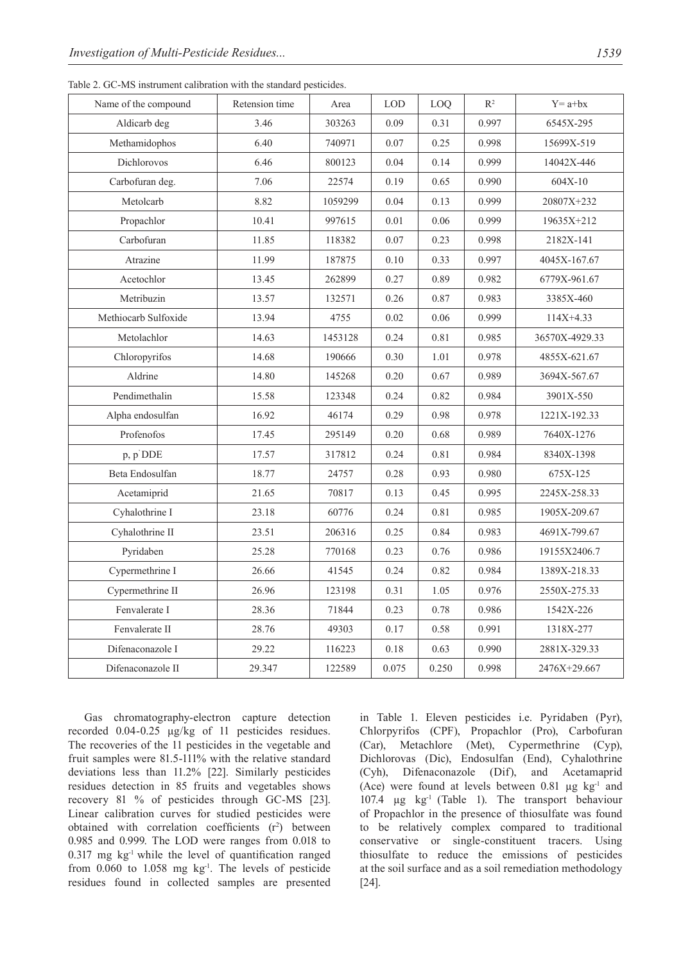| Name of the compound | Retension time | Area    | <b>LOD</b> | LOQ   | $R^2$ | $Y = a + bx$   |
|----------------------|----------------|---------|------------|-------|-------|----------------|
| Aldicarb deg         | 3.46           | 303263  | 0.09       | 0.31  | 0.997 | 6545X-295      |
| Methamidophos        | 6.40           | 740971  | 0.07       | 0.25  | 0.998 | 15699X-519     |
| Dichlorovos          | 6.46           | 800123  | 0.04       | 0.14  | 0.999 | 14042X-446     |
| Carbofuran deg.      | 7.06           | 22574   | 0.19       | 0.65  | 0.990 | $604X-10$      |
| Metolcarb            | 8.82           | 1059299 | 0.04       | 0.13  | 0.999 | 20807X+232     |
| Propachlor           | 10.41          | 997615  | 0.01       | 0.06  | 0.999 | 19635X+212     |
| Carbofuran           | 11.85          | 118382  | 0.07       | 0.23  | 0.998 | 2182X-141      |
| Atrazine             | 11.99          | 187875  | 0.10       | 0.33  | 0.997 | 4045X-167.67   |
| Acetochlor           | 13.45          | 262899  | 0.27       | 0.89  | 0.982 | 6779X-961.67   |
| Metribuzin           | 13.57          | 132571  | 0.26       | 0.87  | 0.983 | 3385X-460      |
| Methiocarb Sulfoxide | 13.94          | 4755    | 0.02       | 0.06  | 0.999 | $114X+4.33$    |
| Metolachlor          | 14.63          | 1453128 | 0.24       | 0.81  | 0.985 | 36570X-4929.33 |
| Chloropyrifos        | 14.68          | 190666  | 0.30       | 1.01  | 0.978 | 4855X-621.67   |
| Aldrine              | 14.80          | 145268  | 0.20       | 0.67  | 0.989 | 3694X-567.67   |
| Pendimethalin        | 15.58          | 123348  | 0.24       | 0.82  | 0.984 | 3901X-550      |
| Alpha endosulfan     | 16.92          | 46174   | 0.29       | 0.98  | 0.978 | 1221X-192.33   |
| Profenofos           | 17.45          | 295149  | 0.20       | 0.68  | 0.989 | 7640X-1276     |
| p, p'DDE             | 17.57          | 317812  | 0.24       | 0.81  | 0.984 | 8340X-1398     |
| Beta Endosulfan      | 18.77          | 24757   | 0.28       | 0.93  | 0.980 | 675X-125       |
| Acetamiprid          | 21.65          | 70817   | 0.13       | 0.45  | 0.995 | 2245X-258.33   |
| Cyhalothrine I       | 23.18          | 60776   | 0.24       | 0.81  | 0.985 | 1905X-209.67   |
| Cyhalothrine II      | 23.51          | 206316  | 0.25       | 0.84  | 0.983 | 4691X-799.67   |
| Pyridaben            | 25.28          | 770168  | 0.23       | 0.76  | 0.986 | 19155X2406.7   |
| Cypermethrine I      | 26.66          | 41545   | 0.24       | 0.82  | 0.984 | 1389X-218.33   |
| Cypermethrine II     | 26.96          | 123198  | 0.31       | 1.05  | 0.976 | 2550X-275.33   |
| Fenvalerate I        | 28.36          | 71844   | 0.23       | 0.78  | 0.986 | 1542X-226      |
| Fenvalerate II       | 28.76          | 49303   | 0.17       | 0.58  | 0.991 | 1318X-277      |
| Difenaconazole I     | 29.22          | 116223  | 0.18       | 0.63  | 0.990 | 2881X-329.33   |
| Difenaconazole II    | 29.347         | 122589  | 0.075      | 0.250 | 0.998 | 2476X+29.667   |
|                      |                |         |            |       |       |                |

Table 2. GC-MS instrument calibration with the standard pesticides.

Gas chromatography-electron capture detection recorded 0.04-0.25 μg/kg of 11 pesticides residues. The recoveries of the 11 pesticides in the vegetable and fruit samples were 81.5-111% with the relative standard deviations less than 11.2% [22]. Similarly pesticides residues detection in 85 fruits and vegetables shows recovery 81 % of pesticides through GC-MS [23]. Linear calibration curves for studied pesticides were obtained with correlation coefficients  $(r^2)$  between 0.985 and 0.999. The LOD were ranges from 0.018 to  $0.317$  mg kg<sup>-1</sup> while the level of quantification ranged from 0.060 to 1.058 mg kg-1. The levels of pesticide residues found in collected samples are presented

in Table 1. Eleven pesticides i.e. Pyridaben (Pyr), Chlorpyrifos (CPF), Propachlor (Pro), Carbofuran (Car), Metachlore (Met), Cypermethrine (Cyp), Dichlorovas (Dic), Endosulfan (End), Cyhalothrine (Cyh), Difenaconazole (Dif), and Acetamaprid (Ace) were found at levels between  $0.81 \mu$ g kg<sup>-1</sup> and 107.4 µg kg-1 (Table 1). The transport behaviour of Propachlor in the presence of thiosulfate was found to be relatively complex compared to traditional conservative or single-constituent tracers. Using thiosulfate to reduce the emissions of pesticides at the soil surface and as a soil remediation methodology [24].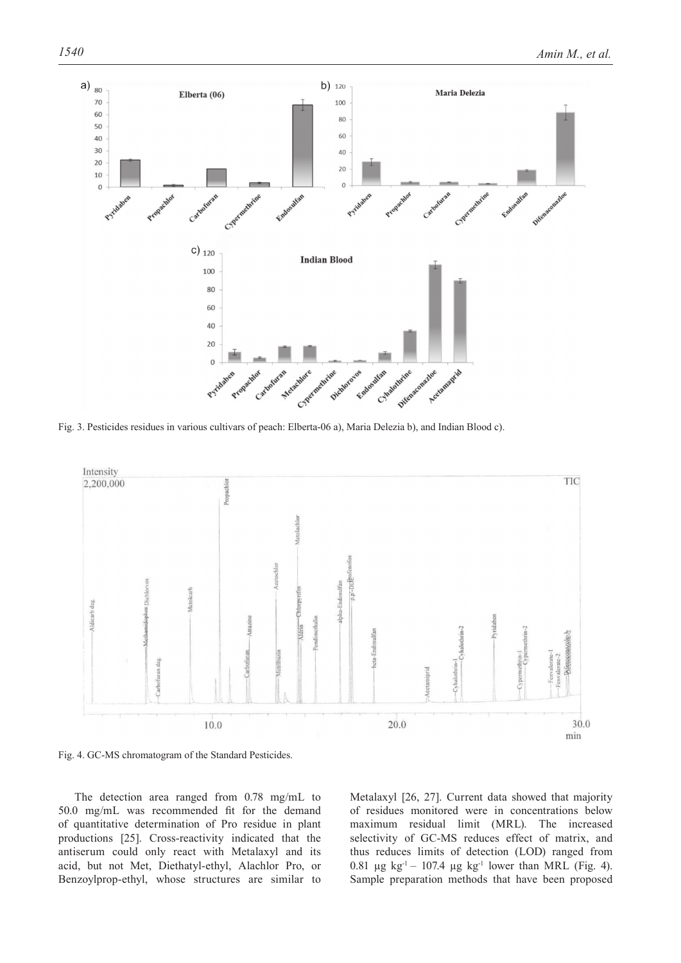

Fig. 3. Pesticides residues in various cultivars of peach: Elberta-06 a), Maria Delezia b), and Indian Blood c).



Fig. 4. GC-MS chromatogram of the Standard Pesticides.

The detection area ranged from 0.78 mg/mL to 50.0 mg/mL was recommended fit for the demand of quantitative determination of Pro residue in plant productions [25]. Cross-reactivity indicated that the antiserum could only react with Metalaxyl and its acid, but not Met, Diethatyl-ethyl, Alachlor Pro, or Benzoylprop-ethyl, whose structures are similar to

Metalaxyl [26, 27]. Current data showed that majority of residues monitored were in concentrations below maximum residual limit (MRL). The increased selectivity of GC-MS reduces effect of matrix, and thus reduces limits of detection (LOD) ranged from 0.81  $\mu$ g kg<sup>-1</sup> – 107.4  $\mu$ g kg<sup>-1</sup> lower than MRL (Fig. 4). Sample preparation methods that have been proposed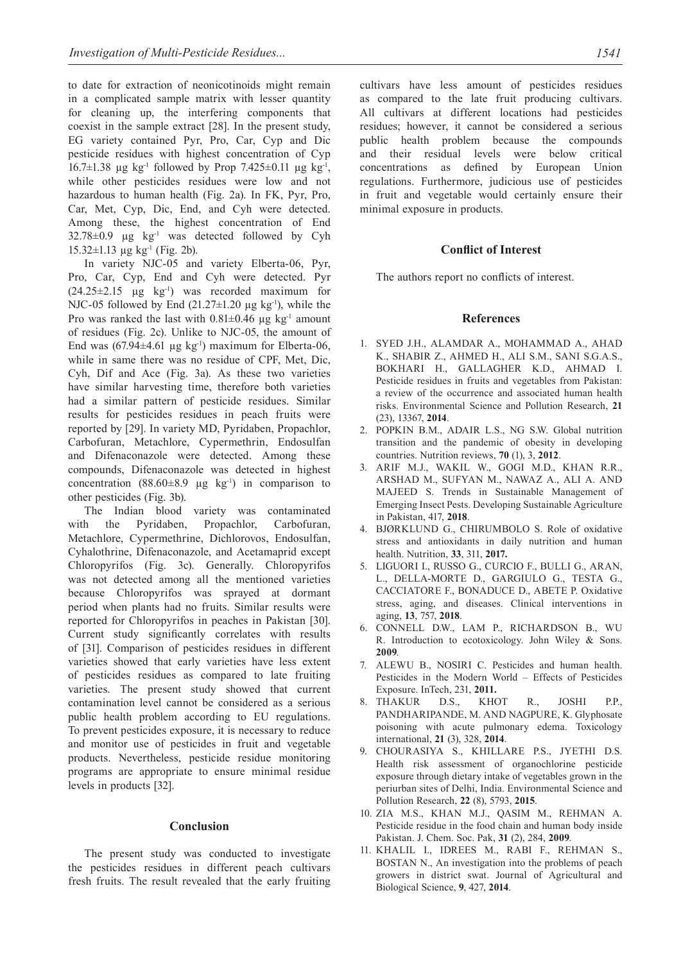to date for extraction of neonicotinoids might remain in a complicated sample matrix with lesser quantity for cleaning up, the interfering components that coexist in the sample extract [28]. In the present study, EG variety contained Pyr, Pro, Car, Cyp and Dic pesticide residues with highest concentration of Cyp 16.7 $\pm$ 1.38 µg kg<sup>-1</sup> followed by Prop 7.425 $\pm$ 0.11 µg kg<sup>-1</sup>, while other pesticides residues were low and not hazardous to human health (Fig. 2a). In FK, Pyr, Pro, Car, Met, Cyp, Dic, End, and Cyh were detected. Among these, the highest concentration of End  $32.78\pm0.9$  µg kg<sup>-1</sup> was detected followed by Cyh 15.32 $\pm$ 1.13 µg kg<sup>-1</sup> (Fig. 2b).

In variety NJC-05 and variety Elberta-06, Pyr, Pro, Car, Cyp, End and Cyh were detected. Pyr  $(24.25\pm2.15 \text{ \mu g kg}^{-1})$  was recorded maximum for NJC-05 followed by End  $(21.27\pm1.20 \text{ µg kg}^{-1})$ , while the Pro was ranked the last with  $0.81 \pm 0.46$  µg kg<sup>-1</sup> amount of residues (Fig. 2c). Unlike to NJC-05, the amount of End was  $(67.94\pm4.61 \text{ kg kg}^{-1})$  maximum for Elberta-06, while in same there was no residue of CPF, Met, Dic, Cyh, Dif and Ace (Fig. 3a). As these two varieties have similar harvesting time, therefore both varieties had a similar pattern of pesticide residues. Similar results for pesticides residues in peach fruits were reported by [29]. In variety MD, Pyridaben, Propachlor, Carbofuran, Metachlore, Cypermethrin, Endosulfan and Difenaconazole were detected. Among these compounds, Difenaconazole was detected in highest concentration  $(88.60\pm8.9 \text{ µg kg}^{-1})$  in comparison to other pesticides (Fig. 3b).

The Indian blood variety was contaminated with the Pyridaben, Propachlor, Carbofuran, Metachlore, Cypermethrine, Dichlorovos, Endosulfan, Cyhalothrine, Difenaconazole, and Acetamaprid except Chloropyrifos (Fig. 3c). Generally. Chloropyrifos was not detected among all the mentioned varieties because Chloropyrifos was sprayed at dormant period when plants had no fruits. Similar results were reported for Chloropyrifos in peaches in Pakistan [30]. Current study significantly correlates with results of [31]. Comparison of pesticides residues in different varieties showed that early varieties have less extent of pesticides residues as compared to late fruiting varieties. The present study showed that current contamination level cannot be considered as a serious public health problem according to EU regulations. To prevent pesticides exposure, it is necessary to reduce and monitor use of pesticides in fruit and vegetable products. Nevertheless, pesticide residue monitoring programs are appropriate to ensure minimal residue levels in products [32].

# **Conclusion**

The present study was conducted to investigate the pesticides residues in different peach cultivars fresh fruits. The result revealed that the early fruiting cultivars have less amount of pesticides residues as compared to the late fruit producing cultivars. All cultivars at different locations had pesticides residues; however, it cannot be considered a serious public health problem because the compounds and their residual levels were below critical concentrations as defined by European Union regulations. Furthermore, judicious use of pesticides in fruit and vegetable would certainly ensure their minimal exposure in products.

# **Conflict of Interest**

The authors report no conflicts of interest.

### **References**

- 1. SYED J.H., ALAMDAR A., MOHAMMAD A., AHAD K., SHABIR Z., AHMED H., ALI S.M., SANI S.G.A.S., BOKHARI H., GALLAGHER K.D., AHMAD I. Pesticide residues in fruits and vegetables from Pakistan: a review of the occurrence and associated human health risks. Environmental Science and Pollution Research, **21**  (23), 13367, **2014**.
- 2. POPKIN B.M., ADAIR L.S., NG S.W. Global nutrition transition and the pandemic of obesity in developing countries. Nutrition reviews, **70** (1), 3, **2012**.
- 3. ARIF M.J., WAKIL W., GOGI M.D., KHAN R.R., ARSHAD M., SUFYAN M., NAWAZ A., ALI A. AND MAJEED S. Trends in Sustainable Management of Emerging Insect Pests. Developing Sustainable Agriculture in Pakistan, 417, **2018**.
- 4. BJØRKLUND G., CHIRUMBOLO S. Role of oxidative stress and antioxidants in daily nutrition and human health. Nutrition, **33**, 311, **2017.**
- 5. Liguori I., Russo G., Curcio F., Bulli G., Aran, L., Della-Morte D., Gargiulo G., Testa G., CACCIATORE F., BONADUCE D., ABETE P. Oxidative stress, aging, and diseases. Clinical interventions in aging, **13**, 757, **2018**.
- 6. CONNELL D.W., LAM P., RICHARDSON B., WU R. Introduction to ecotoxicology. John Wiley & Sons. **2009**.
- 7. ALEWU B., NOSIRI C. Pesticides and human health. Pesticides in the Modern World – Effects of Pesticides Exposure. InTech, 231, **2011.**
- 8. THAKUR D.S., KHOT R., JOSHI P.P., PANDHARIPANDE, M. AND NAGPURE, K. Glyphosate poisoning with acute pulmonary edema. Toxicology international, **21** (3), 328, **2014**.
- 9. CHOURASIYA S., KHILLARE P.S., JYETHI D.S. Health risk assessment of organochlorine pesticide exposure through dietary intake of vegetables grown in the periurban sites of Delhi, India. Environmental Science and Pollution Research, **22** (8), 5793, **2015**.
- 10. ZIA M.S., KHAN M.J., QASIM M., REHMAN A. Pesticide residue in the food chain and human body inside Pakistan. J. Chem. Soc. Pak, **31** (2), 284, **2009**.
- 11. KHALIL I., IDREES M., RABI F., REHMAN S., BOSTAN N., An investigation into the problems of peach growers in district swat. Journal of Agricultural and Biological Science, **9**, 427, **2014**.